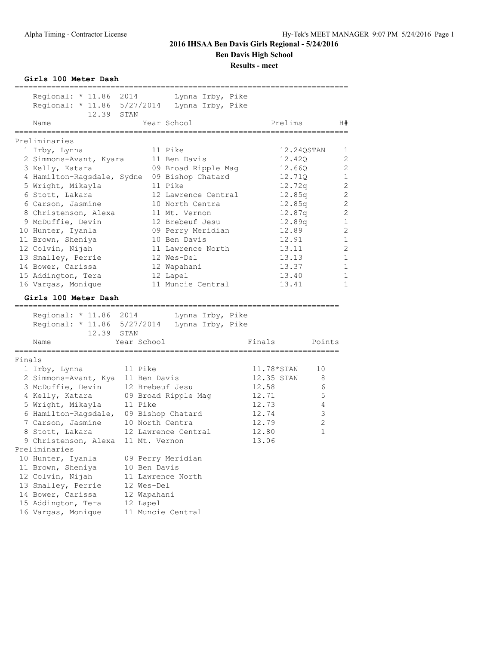**Girls 100 Meter Dash**

|        | Regional: * 11.86 2014                       |                 | Lynna Irby, Pike    |              |              |
|--------|----------------------------------------------|-----------------|---------------------|--------------|--------------|
|        | Regional: * 11.86 5/27/2014                  |                 | Lynna Irby, Pike    |              |              |
|        | 12.39 STAN                                   |                 |                     |              |              |
|        | Name                                         |                 | Year School         | Prelims      | H#           |
|        | ,,,,,,,,,,,,,,,,,,,,                         |                 | ,,,,,,,,,,,,,,,,,   |              |              |
|        | Preliminaries                                |                 |                     |              |              |
|        | 1 Irby, Lynna                                |                 | 11 Pike             | 12.24QSTAN   | 1            |
|        | 2 Simmons-Avant, Kyara                       |                 | 11 Ben Davis        | 12.420       | 2            |
|        | 3 Kelly, Katara                              |                 | 09 Broad Ripple Mag | 12.660       | 2            |
|        | 4 Hamilton-Ragsdale, Sydne                   |                 | 09 Bishop Chatard   | 12.710       | $\mathbf 1$  |
|        | 5 Wright, Mikayla                            |                 | 11 Pike             | 12.72q       | 2            |
|        | 6 Stott, Lakara                              |                 | 12 Lawrence Central | 12.85q       | 2            |
|        | 6 Carson, Jasmine                            |                 | 10 North Centra     | 12.85q       | 2            |
|        | 8 Christenson, Alexa                         |                 | 11 Mt. Vernon       | 12.87q       | 2            |
|        | 9 McDuffie, Devin                            |                 | 12 Brebeuf Jesu     | 12.89q       | $\mathbf{1}$ |
|        | 10 Hunter, Iyanla                            |                 | 09 Perry Meridian   | 12.89        | 2            |
|        | 11 Brown, Sheniya                            |                 | 10 Ben Davis        | 12.91        | $\mathbf 1$  |
|        | 12 Colvin, Nijah                             |                 | 11 Lawrence North   | 13.11        | 2            |
|        | 13 Smalley, Perrie                           |                 | 12 Wes-Del          | 13.13        | 1            |
|        | 14 Bower, Carissa                            |                 | 12 Wapahani         | 13.37        | $\mathbf{1}$ |
|        | 15 Addington, Tera                           |                 | 12 Lapel            | 13.40        | 1            |
|        | 16 Vargas, Monique                           |                 | 11 Muncie Central   | 13.41        | 1            |
|        | Girls 100 Meter Dash                         |                 |                     |              |              |
|        | ================<br>Regional: * 11.86 2014   |                 |                     |              |              |
|        | Regional: * 11.86 5/27/2014 Lynna Irby, Pike |                 | Lynna Irby, Pike    |              |              |
|        | 12.39                                        | STAN            |                     |              |              |
|        | Name                                         | Year School     |                     | Finals       | Points       |
|        |                                              |                 |                     |              |              |
| Finals |                                              |                 |                     |              |              |
|        | 1 Irby, Lynna                                | 11 Pike         |                     | $11.78*STAN$ | 10           |
|        | 2 Simmons-Avant, Kya                         | 11 Ben Davis    |                     | 12.35 STAN   | 8            |
|        | 3 McDuffie, Devin                            | 12 Brebeuf Jesu |                     | 12.58        | 6            |
|        | 4 Kelly, Katara                              |                 | 09 Broad Ripple Mag | 12.71        | 5            |
|        | 5 Wright, Mikayla                            | 11 Pike         |                     | 12.73        | 4            |
|        | 6 Hamilton-Ragsdale,                         |                 | 09 Bishop Chatard   | 12.74        | 3            |
|        | 7 Carson, Jasmine                            | 10 North Centra |                     | 12.79        | $\mathbf{2}$ |
|        | 8 Stott, Lakara                              |                 | 12 Lawrence Central | 12.80        | $\mathbf{1}$ |
|        | 9 Christenson, Alexa                         | 11 Mt. Vernon   |                     | 13.06        |              |
|        | Preliminaries                                |                 |                     |              |              |
|        | 10 Hunter, Iyanla                            |                 | 09 Perry Meridian   |              |              |
|        | 11 Brown, Sheniya                            | 10 Ben Davis    |                     |              |              |
|        | 12 Colvin, Nijah                             |                 | 11 Lawrence North   |              |              |
|        | 13 Smalley, Perrie                           | 12 Wes-Del      |                     |              |              |
|        | 14 Bower, Carissa                            | 12 Wapahani     |                     |              |              |
|        | 15 Addington, Tera                           | 12 Lapel        |                     |              |              |
|        | 16 Vargas, Monique                           |                 | 11 Muncie Central   |              |              |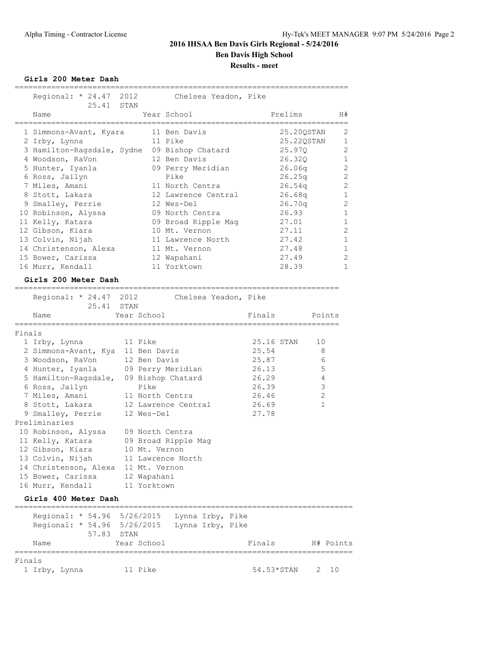**Girls 200 Meter Dash**

|        | Regional: * 24.47 2012                                                                                                                                                                                                                                                                                                                                                 | Chelsea Yeadon, Pike                                                                                                                                                                                                                                                                            |                      |                                                                                                                                                                                                                                                          |
|--------|------------------------------------------------------------------------------------------------------------------------------------------------------------------------------------------------------------------------------------------------------------------------------------------------------------------------------------------------------------------------|-------------------------------------------------------------------------------------------------------------------------------------------------------------------------------------------------------------------------------------------------------------------------------------------------|----------------------|----------------------------------------------------------------------------------------------------------------------------------------------------------------------------------------------------------------------------------------------------------|
|        | 25.41 STAN                                                                                                                                                                                                                                                                                                                                                             |                                                                                                                                                                                                                                                                                                 |                      |                                                                                                                                                                                                                                                          |
|        | Name                                                                                                                                                                                                                                                                                                                                                                   | Year School                                                                                                                                                                                                                                                                                     |                      | Prelims<br>H#                                                                                                                                                                                                                                            |
|        | 1 Simmons-Avant, Kyara<br>2 Irby, Lynna<br>3 Hamilton-Ragsdale, Sydne<br>4 Woodson, RaVon<br>5 Hunter, Iyanla<br>6 Ross, Jailyn<br>7 Miles, Amani<br>8 Stott, Lakara<br>9 Smalley, Perrie<br>10 Robinson, Alyssa<br>11 Kelly, Katara<br>12 Gibson, Kiara<br>13 Colvin, Nijah<br>14 Christenson, Alexa<br>15 Bower, Carissa<br>16 Murr, Kendall<br>Girls 200 Meter Dash | ===========<br>11 Ben Davis<br>11 Pike<br>09 Bishop Chatard<br>12 Ben Davis<br>09 Perry Meridian<br>Pike<br>11 North Centra<br>12 Lawrence Central<br>12 Wes-Del<br>09 North Centra<br>09 Broad Ripple Mag<br>10 Mt. Vernon<br>11 Lawrence North<br>11 Mt. Vernon<br>12 Wapahani<br>11 Yorktown |                      | 2<br>25.20QSTAN<br>25.220STAN<br>1<br>2<br>25.97Q<br>26.320<br>1<br>2<br>26.06q<br>2<br>26.25q<br>2<br>26.54q<br>1<br>26.68q<br>2<br>26.70q<br>26.93<br>1<br>1<br>27.01<br>2<br>27.11<br>27.42<br>1<br>27.48<br>1<br>27.49<br>2<br>28.39<br>$\mathbf{1}$ |
|        | -----------------------<br>Regional: * 24.47 2012                                                                                                                                                                                                                                                                                                                      |                                                                                                                                                                                                                                                                                                 | Chelsea Yeadon, Pike |                                                                                                                                                                                                                                                          |
|        | 25.41                                                                                                                                                                                                                                                                                                                                                                  | STAN                                                                                                                                                                                                                                                                                            |                      |                                                                                                                                                                                                                                                          |
|        | Name                                                                                                                                                                                                                                                                                                                                                                   | Year School<br>;===========                                                                                                                                                                                                                                                                     | Finals               | Points                                                                                                                                                                                                                                                   |
| Finals |                                                                                                                                                                                                                                                                                                                                                                        |                                                                                                                                                                                                                                                                                                 |                      |                                                                                                                                                                                                                                                          |
|        | 1 Irby, Lynna                                                                                                                                                                                                                                                                                                                                                          | 11 Pike                                                                                                                                                                                                                                                                                         | 25.16 STAN           | 10                                                                                                                                                                                                                                                       |
|        | 2 Simmons-Avant, Kya 11 Ben Davis                                                                                                                                                                                                                                                                                                                                      |                                                                                                                                                                                                                                                                                                 | 25.54                | 8                                                                                                                                                                                                                                                        |
|        | 3 Woodson, RaVon                                                                                                                                                                                                                                                                                                                                                       | 12 Ben Davis                                                                                                                                                                                                                                                                                    | 25.87                | 6                                                                                                                                                                                                                                                        |
|        | 4 Hunter, Iyanla                                                                                                                                                                                                                                                                                                                                                       | 09 Perry Meridian                                                                                                                                                                                                                                                                               | 26.13                | 5                                                                                                                                                                                                                                                        |
|        | 5 Hamilton-Ragsdale,                                                                                                                                                                                                                                                                                                                                                   | 09 Bishop Chatard                                                                                                                                                                                                                                                                               | 26.29                | 4                                                                                                                                                                                                                                                        |
|        | 6 Ross, Jailyn                                                                                                                                                                                                                                                                                                                                                         | Pike                                                                                                                                                                                                                                                                                            | 26.39                | $\mathsf 3$                                                                                                                                                                                                                                              |
|        | 7 Miles, Amani                                                                                                                                                                                                                                                                                                                                                         | 11 North Centra                                                                                                                                                                                                                                                                                 | 26.46                | $\mathbf{2}$                                                                                                                                                                                                                                             |
|        | 8 Stott, Lakara                                                                                                                                                                                                                                                                                                                                                        | 12 Lawrence Central                                                                                                                                                                                                                                                                             | 26.69                | 1                                                                                                                                                                                                                                                        |
|        | 9 Smalley, Perrie                                                                                                                                                                                                                                                                                                                                                      | 12 Wes-Del                                                                                                                                                                                                                                                                                      | 27.78                |                                                                                                                                                                                                                                                          |
|        | Preliminaries                                                                                                                                                                                                                                                                                                                                                          |                                                                                                                                                                                                                                                                                                 |                      |                                                                                                                                                                                                                                                          |
|        | 10 Robinson, Alyssa                                                                                                                                                                                                                                                                                                                                                    | 09 North Centra                                                                                                                                                                                                                                                                                 |                      |                                                                                                                                                                                                                                                          |
|        | 11 Kelly, Katara                                                                                                                                                                                                                                                                                                                                                       | 09 Broad Ripple Mag                                                                                                                                                                                                                                                                             |                      |                                                                                                                                                                                                                                                          |
|        | 12 Gibson, Kiara                                                                                                                                                                                                                                                                                                                                                       | 10 Mt. Vernon                                                                                                                                                                                                                                                                                   |                      |                                                                                                                                                                                                                                                          |
|        | 13 Colvin, Nijah                                                                                                                                                                                                                                                                                                                                                       | 11 Lawrence North                                                                                                                                                                                                                                                                               |                      |                                                                                                                                                                                                                                                          |
|        | 14 Christenson, Alexa                                                                                                                                                                                                                                                                                                                                                  | 11 Mt. Vernon                                                                                                                                                                                                                                                                                   |                      |                                                                                                                                                                                                                                                          |
|        | 15 Bower, Carissa                                                                                                                                                                                                                                                                                                                                                      | 12 Wapahani                                                                                                                                                                                                                                                                                     |                      |                                                                                                                                                                                                                                                          |
|        | 16 Murr, Kendall                                                                                                                                                                                                                                                                                                                                                       | 11 Yorktown                                                                                                                                                                                                                                                                                     |                      |                                                                                                                                                                                                                                                          |
|        | Girls 400 Meter Dash                                                                                                                                                                                                                                                                                                                                                   |                                                                                                                                                                                                                                                                                                 |                      |                                                                                                                                                                                                                                                          |
|        | Regional: * 54.96 5/26/2015<br>Regional: * 54.96 5/26/2015<br>57.83                                                                                                                                                                                                                                                                                                    | Lynna Irby, Pike<br>Lynna Irby, Pike<br>STAN                                                                                                                                                                                                                                                    |                      |                                                                                                                                                                                                                                                          |

| Finals        |         |                 |  |
|---------------|---------|-----------------|--|
| 1 Irby, Lynna | 11 Pike | 54.53*STAN 2 10 |  |

Name  $Year School$  Finals  $H#$  Points ==========================================================================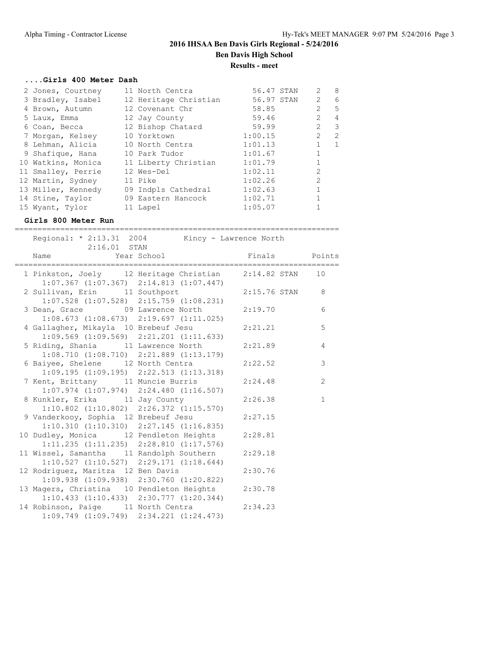#### **....Girls 400 Meter Dash**

| 2 Jones, Courtney  | 11 North Centra       | 56.47 STAN |            | $\overline{2}$ | 8                        |
|--------------------|-----------------------|------------|------------|----------------|--------------------------|
| 3 Bradley, Isabel  | 12 Heritage Christian |            | 56.97 STAN | 2              | 6                        |
| 4 Brown, Autumn    | 12 Covenant Chr       | 58.85      |            | $\overline{2}$ | 5                        |
| 5 Laux, Emma       | 12 Jay County         | 59.46      |            | $\overline{2}$ | $\overline{4}$           |
| 6 Coan, Becca      | 12 Bishop Chatard     | 59.99      |            | $\overline{2}$ | $\overline{\phantom{a}}$ |
| 7 Morgan, Kelsey   | 10 Yorktown           | 1:00.15    |            | $\overline{2}$ | 2                        |
| 8 Lehman, Alicia   | 10 North Centra       | 1:01.13    |            |                | 1                        |
| 9 Shafique, Hana   | 10 Park Tudor         | 1:01.67    |            |                |                          |
| 10 Watkins, Monica | 11 Liberty Christian  | 1:01.79    |            |                |                          |
| 11 Smalley, Perrie | 12 Wes-Del            | 1:02.11    |            | $\mathcal{L}$  |                          |
| 12 Martin, Sydney  | 11 Pike               | 1:02.26    |            | $\mathfrak{L}$ |                          |
| 13 Miller, Kennedy | 09 Indpls Cathedral   | 1:02.63    |            |                |                          |
| 14 Stine, Taylor   | 09 Eastern Hancock    | 1:02.71    |            |                |                          |
| 15 Wyant, Tylor    | 11 Lapel              | 1:05.07    |            |                |                          |

### **Girls 800 Meter Run**

=======================================================================

| Regional: * 2:13.31 2004 Kincy - Lawrence North<br>$2:16.01$ STAN                                          |                                                 |                |                |
|------------------------------------------------------------------------------------------------------------|-------------------------------------------------|----------------|----------------|
| Name                                                                                                       | Year School                                     | Finals Points  |                |
| 1 Pinkston, Joely 12 Heritage Christian 2:14.82 STAN 10<br>$1:07.367$ $(1:07.367)$ $2:14.813$ $(1:07.447)$ |                                                 |                |                |
| 2 Sullivan, Erin 11 Southport                                                                              | $1:07.528$ $(1:07.528)$ $2:15.759$ $(1:08.231)$ | 2:15.76 STAN 8 |                |
| 3 Dean, Grace 69 Lawrence North 2:19.70<br>$1:08.673$ $(1:08.673)$ $2:19.697$ $(1:11.025)$                 |                                                 |                | 6              |
| 4 Gallagher, Mikayla 10 Brebeuf Jesu                                                                       | $1:09.569$ $(1:09.569)$ $2:21.201$ $(1:11.633)$ | 2:21.21        | 5              |
| 5 Riding, Shania 11 Lawrence North                                                                         | $1:08.710$ $(1:08.710)$ $2:21.889$ $(1:13.179)$ | 2:21.89        | $\overline{4}$ |
| 6 Baiyee, Shelene 12 North Centra<br>$1:09.195$ $(1:09.195)$ $2:22.513$ $(1:13.318)$                       |                                                 | 2:22.52        | $\mathcal{E}$  |
| 7 Kent, Brittany 11 Muncie Burris 2:24.48                                                                  | $1:07.974$ $(1:07.974)$ $2:24.480$ $(1:16.507)$ |                | 2              |
| 8 Kunkler, Erika 11 Jay County                                                                             | $1:10.802$ $(1:10.802)$ $2:26.372$ $(1:15.570)$ | 2:26.38        | $\mathbf{1}$   |
| 9 Vanderkooy, Sophia 12 Brebeuf Jesu<br>$1:10.310$ $(1:10.310)$ $2:27.145$ $(1:16.835)$                    |                                                 | 2:27.15        |                |
| 10 Dudley, Monica 12 Pendleton Heights 2:28.81                                                             | $1:11.235$ $(1:11.235)$ $2:28.810$ $(1:17.576)$ |                |                |
| 11 Wissel, Samantha 11 Randolph Southern 2:29.18<br>$1:10.527$ $(1:10.527)$ $2:29.171$ $(1:18.644)$        |                                                 |                |                |
| 12 Rodriguez, Maritza 12 Ben Davis<br>$1:09.938$ $(1:09.938)$ $2:30.760$ $(1:20.822)$                      |                                                 | 2:30.76        |                |
| 13 Magers, Christina 10 Pendleton Heights 2:30.78                                                          | $1:10.433$ $(1:10.433)$ $2:30.777$ $(1:20.344)$ |                |                |
| 14 Robinson, Paige 11 North Centra<br>$1:09.749$ $(1:09.749)$ $2:34.221$ $(1:24.473)$                      |                                                 | 2:34.23        |                |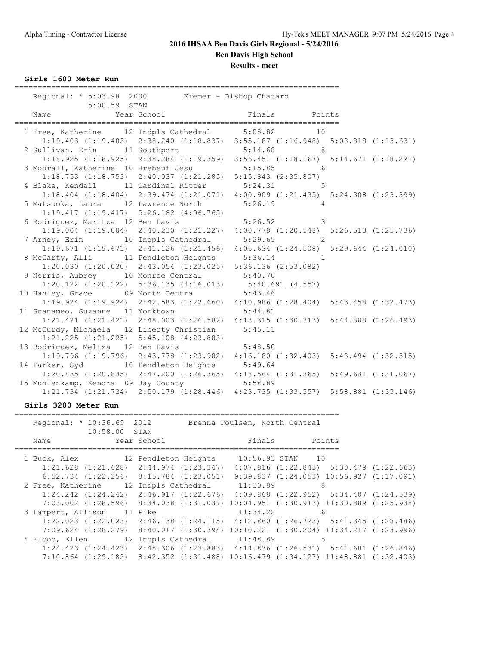**Results - meet**

**Girls 1600 Meter Run**

| Regional: * 5:03.98 2000 Kremer - Bishop Chatard                                                                          | ------------------------------ | __________________________ |                                                                                                                                                                                         |
|---------------------------------------------------------------------------------------------------------------------------|--------------------------------|----------------------------|-----------------------------------------------------------------------------------------------------------------------------------------------------------------------------------------|
| Name                                                                                                                      |                                |                            |                                                                                                                                                                                         |
| 1 Free, Katherine 12 Indpls Cathedral 5:08.82 10                                                                          |                                |                            |                                                                                                                                                                                         |
|                                                                                                                           |                                |                            | 1:19.403 (1:19.403) 2:38.240 (1:18.837) 3:55.187 (1:16.948) 5:08.818 (1:13.631)                                                                                                         |
| 2 Sullivan, Erin 11 Southport 5:14.68 8                                                                                   |                                |                            | $1:18.925$ (1:18.925) 2:38.284 (1:19.359) 3:56.451 (1:18.167) 5:14.671 (1:18.221)                                                                                                       |
|                                                                                                                           |                                |                            |                                                                                                                                                                                         |
| 3 Modrall, Katherine 10 Brebeuf Jesu 5:15.85 6<br>1:18.753 (1:18.753) 2:40.037 (1:21.285) 5:15.843 (2:35.807)             |                                |                            |                                                                                                                                                                                         |
| 4 Blake, Kendall 11 Cardinal Ritter 5:24.31 5                                                                             |                                |                            |                                                                                                                                                                                         |
|                                                                                                                           |                                |                            | 1:18.404 (1:18.404) 2:39.474 (1:21.071) 4:00.909 (1:21.435) 5:24.308 (1:23.399)                                                                                                         |
| 5 Matsuoka, Laura 12 Lawrence North 5:26.19 4                                                                             |                                |                            |                                                                                                                                                                                         |
| $1:19.417$ $(1:19.417)$ $5:26.182$ $(4:06.765)$                                                                           |                                |                            |                                                                                                                                                                                         |
| 6 Rodriguez, Maritza 12 Ben Davis (1998) 5:26.52 3                                                                        |                                |                            |                                                                                                                                                                                         |
|                                                                                                                           |                                |                            | $1:19.004$ (1:19.004) 2:40.230 (1:21.227) 4:00.778 (1:20.548) 5:26.513 (1:25.736)                                                                                                       |
| 7 Arney, Erin 10 Indpls Cathedral 5:29.65 2                                                                               |                                |                            |                                                                                                                                                                                         |
|                                                                                                                           |                                |                            | 1:19.671 (1:19.671) 2:41.126 (1:21.456) 4:05.634 (1:24.508) 5:29.644 (1:24.010)                                                                                                         |
| 8 McCarty, Alli 11 Pendleton Heights 5:36.14 1<br>$1:20.030$ $(1:20.030)$ $2:43.054$ $(1:23.025)$ $5:36.136$ $(2:53.082)$ |                                |                            |                                                                                                                                                                                         |
| 9 Norris, Aubrey 10 Monroe Central 5:40.70                                                                                |                                |                            |                                                                                                                                                                                         |
|                                                                                                                           |                                |                            |                                                                                                                                                                                         |
|                                                                                                                           |                                |                            |                                                                                                                                                                                         |
|                                                                                                                           |                                |                            | 1:20.122 (1:20.122) 5:36.135 (4:16.013) 5:40.691 (4.557)<br>10 Hanley, Grace 09 North Centra 5:43.46<br>1:19.924 (1:19.924) 2:42.583 (1:22.660) 4:10.986 (1:28.404) 5:43.458 (1:32.473) |
| 11 Scanameo, Suzanne 11 Yorktown 5:44.81                                                                                  |                                |                            |                                                                                                                                                                                         |
|                                                                                                                           |                                |                            | 1:21.421 (1:21.421) 2:48.003 (1:26.582) 4:18.315 (1:30.313) 5:44.808 (1:26.493)                                                                                                         |
| 12 McCurdy, Michaela 12 Liberty Christian 5:45.11                                                                         |                                |                            |                                                                                                                                                                                         |
| $1:21.225$ $(1:21.225)$ $5:45.108$ $(4:23.883)$                                                                           |                                |                            |                                                                                                                                                                                         |
| 13 Rodriguez, Meliza 12 Ben Davis 5:48.50                                                                                 |                                |                            |                                                                                                                                                                                         |
|                                                                                                                           |                                |                            | 1:19.796 (1:19.796) 2:43.778 (1:23.982) 4:16.180 (1:32.403) 5:48.494 (1:32.315)                                                                                                         |
|                                                                                                                           |                                |                            | 14 Parker, Syd 10 Pendleton Heights 5:49.64<br>1:20.835 (1:20.835) 2:47.200 (1:26.365) 4:18.564 (1:31.365) 5:49.631 (1:31.067)                                                          |
| 15 Muhlenkamp, Kendra 09 Jay County 5:58.89                                                                               |                                |                            |                                                                                                                                                                                         |
|                                                                                                                           |                                |                            | 1:21.734 (1:21.734) 2:50.179 (1:28.446) 4:23.735 (1:33.557) 5:58.881 (1:35.146)                                                                                                         |
|                                                                                                                           |                                |                            |                                                                                                                                                                                         |

#### **Girls 3200 Meter Run**

=======================================================================

| Regional: * 10:36.69 2012                          |                                                                                                   | Brenna Poulsen, North Central |                                                  |  |
|----------------------------------------------------|---------------------------------------------------------------------------------------------------|-------------------------------|--------------------------------------------------|--|
| 10:58.00 STAN<br>Name                              | Year School                                                                                       | Finals                        | Points                                           |  |
| 1 Buck, Alex 12 Pendleton Heights 10:56.93 STAN 10 |                                                                                                   |                               |                                                  |  |
|                                                    | $1:21.628$ $(1:21.628)$ $2:44.974$ $(1:23.347)$ $4:07.816$ $(1:22.843)$ $5:30.479$ $(1:22.663)$   |                               |                                                  |  |
|                                                    | $6:52.734$ $(1:22.256)$ $8:15.784$ $(1:23.051)$                                                   |                               | $9:39.837$ $(1:24.053)$ $10:56.927$ $(1:17.091)$ |  |
| 2 Free, Katherine 12 Indpls Cathedral 11:30.89     |                                                                                                   |                               | 8                                                |  |
|                                                    | $1:24.242$ $(1:24.242)$ $2:46.917$ $(1:22.676)$ $4:09.868$ $(1:22.952)$ $5:34.407$ $(1:24.539)$   |                               |                                                  |  |
|                                                    | 7:03.002 (1:28.596) 8:34.038 (1:31.037) 10:04.951 (1:30.913) 11:30.889 (1:25.938)                 |                               |                                                  |  |
| 3 Lampert, Allison 11 Pike                         |                                                                                                   | 11:34.22                      | 6                                                |  |
|                                                    | $1:22.023$ $(1:22.023)$ $2:46.138$ $(1:24.115)$ $4:12.860$ $(1:26.723)$ $5:41.345$ $(1:28.486)$   |                               |                                                  |  |
|                                                    | 7:09.624 (1:28.279) 8:40.017 (1:30.394) 10:10.221 (1:30.204) 11:34.217 (1:23.996)                 |                               |                                                  |  |
| 4 Flood, Ellen 12 Indpls Cathedral 11:48.89        |                                                                                                   |                               | 5                                                |  |
|                                                    | $1:24.423$ $(1:24.423)$ $2:48.306$ $(1:23.883)$ $4:14.836$ $(1:26.531)$ $5:41.681$ $(1:26.846)$   |                               |                                                  |  |
|                                                    | $7:10.864$ $(1:29.183)$ $8:42.352$ $(1:31.488)$ $10:16.479$ $(1:34.127)$ $11:48.881$ $(1:32.403)$ |                               |                                                  |  |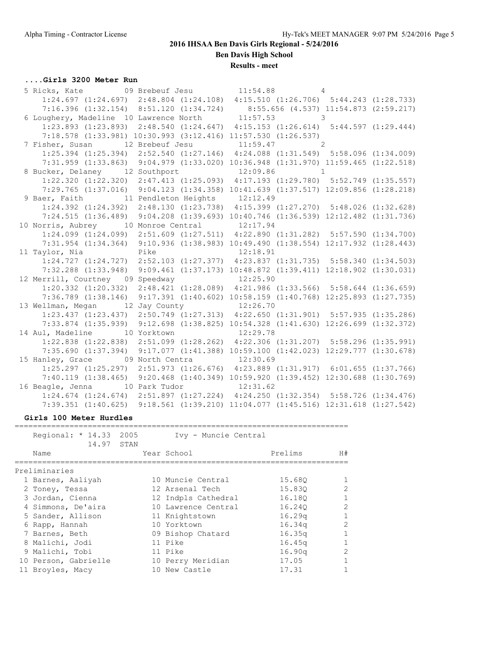**Ben Davis High School**

**Results - meet**

### **....Girls 3200 Meter Run**

| 5 Ricks, Kate $09$ Brebeuf Jesu $11:54.88$ 4        |                                                                                                 |  |  |  |
|-----------------------------------------------------|-------------------------------------------------------------------------------------------------|--|--|--|
|                                                     | $1:24.697$ (1:24.697) $2:48.804$ (1:24.108) $4:15.510$ (1:26.706) $5:44.243$ (1:28.733)         |  |  |  |
|                                                     | 7:16.396 (1:32.154) 8:51.120 (1:34.724) 8:55.656 (4.537) 11:54.873 (2:59.217)                   |  |  |  |
| 6 Loughery, Madeline 10 Lawrence North $11:57.53$ 3 |                                                                                                 |  |  |  |
|                                                     | 1:23.893 (1:23.893) 2:48.540 (1:24.647) 4:15.153 (1:26.614) 5:44.597 (1:29.444)                 |  |  |  |
|                                                     | 7:18.578 (1:33.981) 10:30.993 (3:12.416) 11:57.530 (1:26.537)                                   |  |  |  |
| 7 Fisher, Susan 12 Brebeuf Jesu 11:59.47 2          |                                                                                                 |  |  |  |
|                                                     | $1:25.394$ $(1:25.394)$ $2:52.540$ $(1:27.146)$ $4:24.088$ $(1:31.549)$ $5:58.096$ $(1:34.009)$ |  |  |  |
|                                                     | 7:31.959 (1:33.863) 9:04.979 (1:33.020) 10:36.948 (1:31.970) 11:59.465 (1:22.518)               |  |  |  |
| 8 Bucker, Delaney 12 Southport 12:09.86 1           |                                                                                                 |  |  |  |
|                                                     | $1:22.320$ $(1:22.320)$ $2:47.413$ $(1:25.093)$ $4:17.193$ $(1:29.780)$ $5:52.749$ $(1:35.557)$ |  |  |  |
|                                                     | 7:29.765 (1:37.016) 9:04.123 (1:34.358) 10:41.639 (1:37.517) 12:09.856 (1:28.218)               |  |  |  |
| 9 Baer, Faith 11 Pendleton Heights 12:12.49         |                                                                                                 |  |  |  |
|                                                     | 1:24.392 (1:24.392) 2:48.130 (1:23.738) 4:15.399 (1:27.270) 5:48.026 (1:32.628)                 |  |  |  |
|                                                     | 7:24.515 (1:36.489) 9:04.208 (1:39.693) 10:40.746 (1:36.539) 12:12.482 (1:31.736)               |  |  |  |
| 10 Norris, Aubrey 10 Monroe Central 12:17.94        |                                                                                                 |  |  |  |
|                                                     | $1:24.099$ $(1:24.099)$ $2:51.609$ $(1:27.511)$ $4:22.890$ $(1:31.282)$ $5:57.590$ $(1:34.700)$ |  |  |  |
|                                                     | 7:31.954 (1:34.364) 9:10.936 (1:38.983) 10:49.490 (1:38.554) 12:17.932 (1:28.443)               |  |  |  |
| 11 Taylor, Nia $Pike$ 12:18.91                      |                                                                                                 |  |  |  |
|                                                     | $1:24.727$ $(1:24.727)$ $2:52.103$ $(1:27.377)$ $4:23.837$ $(1:31.735)$ $5:58.340$ $(1:34.503)$ |  |  |  |
|                                                     | 7:32.288 (1:33.948) 9:09.461 (1:37.173) 10:48.872 (1:39.411) 12:18.902 (1:30.031)               |  |  |  |
| 12 Merrill, Courtney 09 Speedway 12:25.90           |                                                                                                 |  |  |  |
|                                                     | $1:20.332$ (1:20.332) $2:48.421$ (1:28.089) $4:21.986$ (1:33.566) $5:58.644$ (1:36.659)         |  |  |  |
|                                                     | 7:36.789 (1:38.146) 9:17.391 (1:40.602) 10:58.159 (1:40.768) 12:25.893 (1:27.735)               |  |  |  |
| 13 Wellman, Megan 12 Jay County 12:26.70            |                                                                                                 |  |  |  |
|                                                     | 1:23.437 (1:23.437) 2:50.749 (1:27.313) 4:22.650 (1:31.901) 5:57.935 (1:35.286)                 |  |  |  |
|                                                     | 7:33.874 (1:35.939) 9:12.698 (1:38.825) 10:54.328 (1:41.630) 12:26.699 (1:32.372)               |  |  |  |
| 14 Aul, Madeline 10 Yorktown 12:29.78               |                                                                                                 |  |  |  |
|                                                     | 1:22.838 (1:22.838) 2:51.099 (1:28.262) 4:22.306 (1:31.207) 5:58.296 (1:35.991)                 |  |  |  |
|                                                     | 7:35.690 (1:37.394) 9:17.077 (1:41.388) 10:59.100 (1:42.023) 12:29.777 (1:30.678)               |  |  |  |
| 15 Hanley, Grace 09 North Centra 12:30.69           |                                                                                                 |  |  |  |
|                                                     | 1:25.297 (1:25.297) 2:51.973 (1:26.676) 4:23.889 (1:31.917) 6:01.655 (1:37.766)                 |  |  |  |
|                                                     | 7:40.119 (1:38.465) 9:20.468 (1:40.349) 10:59.920 (1:39.452) 12:30.688 (1:30.769)               |  |  |  |
| 16 Beagle, Jenna 10 Park Tudor 12:31.62             |                                                                                                 |  |  |  |
|                                                     | 1:24.674 (1:24.674) 2:51.897 (1:27.224) 4:24.250 (1:32.354) 5:58.726 (1:34.476)                 |  |  |  |
|                                                     | 7:39.351 (1:40.625) 9:18.561 (1:39.210) 11:04.077 (1:45.516) 12:31.618 (1:27.542)               |  |  |  |

#### **Girls 100 Meter Hurdles**

| Regional: * 14.33 2005<br>14.97 STAN | Ivy - Muncie Central |                          |
|--------------------------------------|----------------------|--------------------------|
| Name                                 | Year School          | Prelims<br>H#            |
| Preliminaries                        |                      |                          |
| 1 Barnes, Aaliyah                    | 10 Muncie Central    | 15.680                   |
| 2 Toney, Tessa                       | 12 Arsenal Tech      | $\mathfrak{D}$<br>15.830 |
| 3 Jordan, Cienna                     | 12 Indpls Cathedral  | 1<br>16.180              |
| 4 Simmons, De'aira                   | 10 Lawrence Central  | $\mathcal{L}$<br>16.240  |
| 5 Sander, Allison                    | 11 Knightstown       | 16.29q                   |
| 6 Rapp, Hannah                       | 10 Yorktown          | $\mathcal{L}$<br>16.34q  |
| 7 Barnes, Beth                       | 09 Bishop Chatard    | 16.35q                   |
| 8 Malichi, Jodi                      | 11 Pike              | 16.45q                   |
| 9 Malichi, Tobi                      | 11 Pike              | 16.90q<br>$\mathcal{D}$  |
| 10 Person, Gabrielle                 | 10 Perry Meridian    | 17.05                    |
| 11 Broyles, Macy                     | 10 New Castle        | 17.31                    |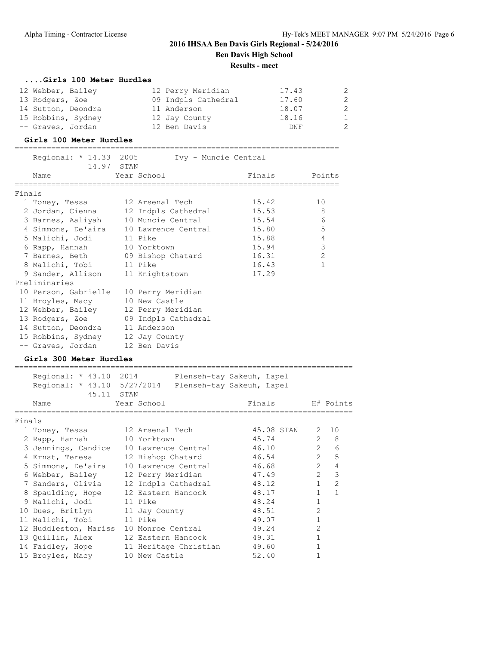#### **....Girls 100 Meter Hurdles**

| 12 Webber, Bailey  | 12 Perry Meridian   | 17.43 | 2            |
|--------------------|---------------------|-------|--------------|
| 13 Rodgers, Zoe    | 09 Indpls Cathedral | 17.60 | 2            |
| 14 Sutton, Deondra | 11 Anderson         | 18.07 | 2            |
| 15 Robbins, Sydney | 12 Jay County       | 18.16 | $\mathbf{1}$ |
| -- Graves, Jordan  | 12 Ben Davis        | DNF   | 2            |

#### **Girls 100 Meter Hurdles**

|        | Regional: * 14.33 2005 Ivy - Muncie Central  |             |               |                |
|--------|----------------------------------------------|-------------|---------------|----------------|
|        | 14.97 STAN                                   |             |               |                |
|        | Name                                         | Year School | Finals Points |                |
| Finals |                                              |             |               |                |
|        |                                              |             |               |                |
|        |                                              |             |               | 10             |
|        |                                              |             |               | 8              |
|        | 3 Barnes, Aaliyah 10 Muncie Central 15.54    |             |               | 6              |
|        | 4 Simmons, De'aira 10 Lawrence Central 15.80 |             |               | 5              |
|        | 5 Malichi, Jodi 11 Pike                      |             | 15.88         | $\overline{4}$ |
|        | 6 Rapp, Hannah 10 Yorktown                   |             | 15.94         | $\mathcal{E}$  |
|        | 7 Barnes, Beth 09 Bishop Chatard             |             | 16.31         | $\overline{2}$ |
|        | 8 Malichi, Tobi 11 Pike                      |             | 16.43         | $\mathbf{1}$   |
|        | 9 Sander, Allison 11 Knightstown             |             | 17.29         |                |
|        | Preliminaries                                |             |               |                |
|        | 10 Person, Gabrielle 10 Perry Meridian       |             |               |                |
|        | 11 Broyles, Macy 10 New Castle               |             |               |                |
|        | 12 Webber, Bailey 12 Perry Meridian          |             |               |                |
|        | 13 Rodgers, Zoe 09 Indpls Cathedral          |             |               |                |
|        | 14 Sutton, Deondra 11 Anderson               |             |               |                |
|        | 15 Robbins, Sydney 12 Jay County             |             |               |                |
|        | -- Graves, Jordan 12 Ben Davis               |             |               |                |

#### **Girls 300 Meter Hurdles**

|        | Regional: * 43.10 2014 Plenseh-tay Sakeuh, Lapel      |                   |                       |       |                  |                |                  |
|--------|-------------------------------------------------------|-------------------|-----------------------|-------|------------------|----------------|------------------|
|        | Regional: * 43.10 5/27/2014 Plenseh-tay Sakeuh, Lapel |                   |                       |       |                  |                |                  |
|        | 45.11 STAN                                            |                   |                       |       |                  |                |                  |
|        | Name                                                  | Year School       |                       |       | Finals H# Points |                |                  |
| Finals |                                                       |                   |                       |       |                  |                |                  |
|        | 1 Toney, Tessa 12 Arsenal Tech                        |                   |                       |       | 45.08 STAN 2 10  |                |                  |
|        | 2 Rapp, Hannah                                        | 10 Yorktown       |                       |       | 45.74            |                | $2 \quad 8$      |
|        | 3 Jennings, Candice                                   |                   | 10 Lawrence Central   |       | 46.10            |                | $2^{\circ}$<br>6 |
|        | 4 Ernst, Teresa                                       |                   | 12 Bishop Chatard     |       | 46.54            |                | 2 <sub>5</sub>   |
|        | 5 Simmons, De'aira                                    |                   | 10 Lawrence Central   |       | 46.68            | $\overline{2}$ | $\overline{4}$   |
|        | 6 Webber, Bailey                                      | 12 Perry Meridian |                       |       | 47.49            | $\overline{2}$ | 3                |
|        | 7 Sanders, Olivia                                     |                   | 12 Indpls Cathedral   |       | 48.12            | $\mathbf{1}$   | $\overline{2}$   |
|        | 8 Spaulding, Hope                                     |                   | 12 Eastern Hancock    | 48.17 |                  | $\mathbf{1}$   | $\overline{1}$   |
|        | 9 Malichi, Jodi                                       | 11 Pike           |                       | 48.24 |                  | $\mathbf{1}$   |                  |
|        | 10 Dues, Britlyn                                      | 11 Jay County     |                       | 48.51 |                  | $\overline{2}$ |                  |
|        | 11 Malichi, Tobi                                      | 11 Pike           |                       | 49.07 |                  |                |                  |
|        | 12 Huddleston, Mariss                                 | 10 Monroe Central |                       | 49.24 |                  | $\overline{2}$ |                  |
|        | 13 Quillin, Alex                                      |                   | 12 Eastern Hancock    | 49.31 |                  |                |                  |
|        | 14 Faidley, Hope                                      |                   | 11 Heritage Christian | 49.60 |                  |                |                  |
|        | 15 Broyles, Macy                                      | 10 New Castle     |                       | 52.40 |                  |                |                  |
|        |                                                       |                   |                       |       |                  |                |                  |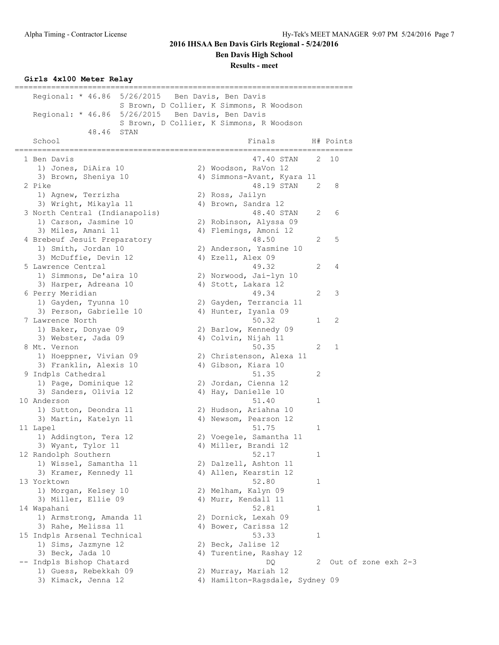**Ben Davis High School**

**Results - meet**

### **Girls 4x100 Meter Relay**

| Regional: * 46.86 5/26/2015 Ben Davis, Ben Davis |                  |                                          |              |                       |  |
|--------------------------------------------------|------------------|------------------------------------------|--------------|-----------------------|--|
|                                                  |                  | S Brown, D Collier, K Simmons, R Woodson |              |                       |  |
| Regional: * 46.86 5/26/2015 Ben Davis, Ben Davis |                  |                                          |              |                       |  |
|                                                  |                  | S Brown, D Collier, K Simmons, R Woodson |              |                       |  |
| 48.46<br>STAN                                    |                  |                                          |              |                       |  |
| School                                           |                  | Finals                                   |              | H# Points             |  |
| ==================<br>1 Ben Davis                | ================ | ===================<br>47.40 STAN        | 2            | 10                    |  |
| 1) Jones, DiAira 10                              |                  | 2) Woodson, RaVon 12                     |              |                       |  |
| 3) Brown, Sheniya 10                             |                  | 4) Simmons-Avant, Kyara 11               |              |                       |  |
| 2 Pike                                           |                  | 48.19 STAN                               | 2            | 8                     |  |
| 1) Agnew, Terrizha                               |                  | 2) Ross, Jailyn                          |              |                       |  |
| 3) Wright, Mikayla 11                            |                  | 4) Brown, Sandra 12                      |              |                       |  |
| 3 North Central (Indianapolis)                   |                  | 48.40 STAN                               | 2            | 6                     |  |
| 1) Carson, Jasmine 10                            |                  | 2) Robinson, Alyssa 09                   |              |                       |  |
| 3) Miles, Amani 11                               |                  | 4) Flemings, Amoni 12                    |              |                       |  |
| 4 Brebeuf Jesuit Preparatory                     |                  | 48.50                                    | 2            | 5                     |  |
| 1) Smith, Jordan 10                              |                  | 2) Anderson, Yasmine 10                  |              |                       |  |
| 3) McDuffie, Devin 12                            |                  | 4) Ezell, Alex 09                        |              |                       |  |
| 5 Lawrence Central                               |                  | 49.32                                    | 2            | 4                     |  |
| 1) Simmons, De'aira 10                           |                  | 2) Norwood, Jai-lyn 10                   |              |                       |  |
| 3) Harper, Adreana 10                            |                  | 4) Stott, Lakara 12                      |              |                       |  |
| 6 Perry Meridian                                 |                  | 49.34                                    | 2            | 3                     |  |
| 1) Gayden, Tyunna 10                             |                  | 2) Gayden, Terrancia 11                  |              |                       |  |
| 3) Person, Gabrielle 10                          |                  | 4) Hunter, Iyanla 09                     |              |                       |  |
| 7 Lawrence North                                 |                  | 50.32                                    | 1            | 2                     |  |
| 1) Baker, Donyae 09                              |                  | 2) Barlow, Kennedy 09                    |              |                       |  |
| 3) Webster, Jada 09                              |                  | 4) Colvin, Nijah 11                      |              |                       |  |
| 8 Mt. Vernon                                     |                  | 50.35                                    | 2            | 1                     |  |
| 1) Hoeppner, Vivian 09                           |                  | 2) Christenson, Alexa 11                 |              |                       |  |
| 3) Franklin, Alexis 10                           |                  | 4) Gibson, Kiara 10                      |              |                       |  |
| 9 Indpls Cathedral                               |                  | 51.35                                    | 2            |                       |  |
| 1) Page, Dominique 12                            |                  | 2) Jordan, Cienna 12                     |              |                       |  |
| 3) Sanders, Olivia 12                            |                  | 4) Hay, Danielle 10                      |              |                       |  |
| 10 Anderson                                      |                  | 51.40                                    | 1            |                       |  |
| 1) Sutton, Deondra 11                            |                  | 2) Hudson, Ariahna 10                    |              |                       |  |
| 3) Martin, Katelyn 11                            |                  | 4) Newsom, Pearson 12                    |              |                       |  |
| 11 Lapel                                         |                  | 51.75                                    | $\mathbf 1$  |                       |  |
| 1) Addington, Tera 12                            |                  | 2) Voegele, Samantha 11                  |              |                       |  |
| 3) Wyant, Tylor 11                               |                  | 4) Miller, Brandi 12                     |              |                       |  |
| 12 Randolph Southern                             |                  | 52.17                                    | $\mathbf{1}$ |                       |  |
| 1) Wissel, Samantha 11                           |                  | 2) Dalzell, Ashton 11                    |              |                       |  |
| 3) Kramer, Kennedy 11                            |                  | 4) Allen, Kearstin 12                    |              |                       |  |
| 13 Yorktown                                      |                  | 52.80                                    | 1            |                       |  |
| 1) Morgan, Kelsey 10                             |                  | 2) Melham, Kalyn 09                      |              |                       |  |
| 3) Miller, Ellie 09                              |                  | 4) Murr, Kendall 11                      |              |                       |  |
| 14 Wapahani                                      |                  | 52.81                                    | 1            |                       |  |
| 1) Armstrong, Amanda 11                          |                  | 2) Dornick, Lexah 09                     |              |                       |  |
| 3) Rahe, Melissa 11                              |                  | 4) Bower, Carissa 12                     |              |                       |  |
| 15 Indpls Arsenal Technical                      |                  | 53.33                                    | 1            |                       |  |
| 1) Sims, Jazmyne 12                              |                  | 2) Beck, Jalise 12                       |              |                       |  |
| 3) Beck, Jada 10                                 |                  | 4) Turentine, Rashay 12                  |              |                       |  |
| -- Indpls Bishop Chatard                         |                  | DQ.                                      |              | 2 Out of zone exh 2-3 |  |
| 1) Guess, Rebekkah 09                            |                  | 2) Murray, Mariah 12                     |              |                       |  |
| 3) Kimack, Jenna 12                              |                  | 4) Hamilton-Ragsdale, Sydney 09          |              |                       |  |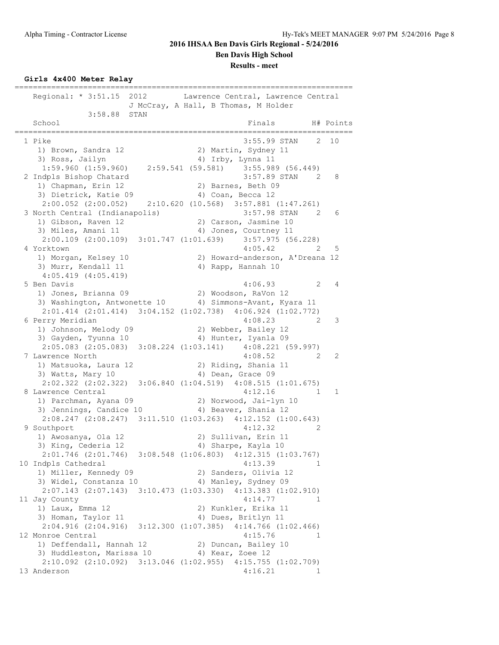**Results - meet**

**Girls 4x400 Meter Relay**

========================================================================== Regional: \* 3:51.15 2012 Lawrence Central, Lawrence Central J McCray, A Hall, B Thomas, M Holder 3:58.88 STAN School **Finals** H# Points ========================================================================== 1 Pike 3:55.99 STAN 2 10 1) Brown, Sandra 12 2) Martin, Sydney 11 3) Ross, Jailyn 1988 (4) Irby, Lynna 11 1:59.960 (1:59.960) 2:59.541 (59.581) 3:55.989 (56.449) 2 Indpls Bishop Chatard 3:57.89 STAN 2 8 1) Chapman, Erin 12 2) Barnes, Beth 09 3) Dietrick, Katie 09 (4) Coan, Becca 12 2:00.052 (2:00.052) 2:10.620 (10.568) 3:57.881 (1:47.261) 3 North Central (Indianapolis) 3:57.98 STAN 2 6 1) Gibson, Raven 12 2) Carson, Jasmine 10 3) Miles, Amani 11 4) Jones, Courtney 11  $2:00.109$  (2:00.109) 3:01.747 (1:01.639) 3:57.975 (56.228)<br>orktown 4:05.42 2 5 4 Yorktown 4:05.42 2 5 1) Morgan, Kelsey 10 2) Howard-anderson, A'Dreana 12 3) Murr, Kendall 11 4) Rapp, Hannah 10 4:05.419 (4:05.419) 5 Ben Davis 4:06.93 2 4 1) Jones, Brianna 09 2) Woodson, RaVon 12 3) Washington, Antwonette 10 4) Simmons-Avant, Kyara 11 2:01.414 (2:01.414) 3:04.152 (1:02.738) 4:06.924 (1:02.772) 6 Perry Meridian 4:08.23 2 3 1) Johnson, Melody 09 2) Webber, Bailey 12 3) Gayden, Tyunna 10 4) Hunter, Iyanla 09 2:05.083 (2:05.083) 3:08.224 (1:03.141) 4:08.221 (59.997) 7 Lawrence North 4:08.52 2 2 1) Matsuoka, Laura 12 2) Riding, Shania 11 3) Watts, Mary 10 4) Dean, Grace 09 2:02.322 (2:02.322) 3:06.840 (1:04.519) 4:08.515 (1:01.675) 8 Lawrence Central 4:12.16 1 1 1) Parchman, Ayana 09 2) Norwood, Jai-lyn 10 3) Jennings, Candice 10 (4) Beaver, Shania 12 2:08.247 (2:08.247) 3:11.510 (1:03.263) 4:12.152 (1:00.643) 9 Southport 4:12.32 2 1) Awosanya, Ola 12 2) Sullivan, Erin 11 3) King, Cederia 12 (4) Sharpe, Kayla 10 2:01.746 (2:01.746) 3:08.548 (1:06.803) 4:12.315 (1:03.767) 10 Indpls Cathedral 4:13.39 1 1) Miller, Kennedy 09 2) Sanders, Olivia 12 3) Widel, Constanza 10 14) Manley, Sydney 09 2:07.143 (2:07.143) 3:10.473 (1:03.330) 4:13.383 (1:02.910) 11 Jay County 4:14.77 1 1) Laux, Emma 12 2) Kunkler, Erika 11 3) Homan, Taylor 11 (4) Dues, Britlyn 11 2:04.916 (2:04.916) 3:12.300 (1:07.385) 4:14.766 (1:02.466) 12 Monroe Central 4:15.76 1 1) Deffendall, Hannah 12 2) Duncan, Bailey 10 3) Huddleston, Marissa 10 (4) Kear, Zoee 12 2:10.092 (2:10.092) 3:13.046 (1:02.955) 4:15.755 (1:02.709) 13 Anderson 4:16.21 1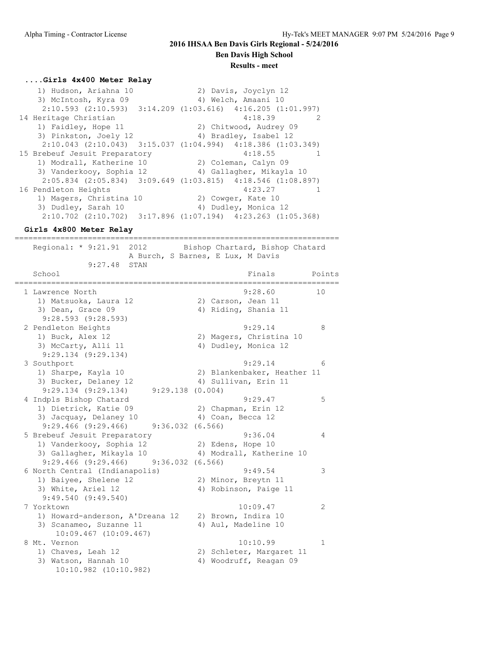**Ben Davis High School**

### **Results - meet**

#### **....Girls 4x400 Meter Relay**

 1) Hudson, Ariahna 10 2) Davis, Joyclyn 12 3) McIntosh, Kyra 09 1940 Melch, Amaani 10 2:10.593 (2:10.593) 3:14.209 (1:03.616) 4:16.205 (1:01.997) 14 Heritage Christian 4:18.39 2 1) Faidley, Hope 11 2) Chitwood, Audrey 09 3) Pinkston, Joely 12 4) Bradley, Isabel 12 2:10.043 (2:10.043) 3:15.037 (1:04.994) 4:18.386 (1:03.349) 15 Brebeuf Jesuit Preparatory 4:18.55 1 1) Modrall, Katherine 10 2) Coleman, Calyn 09 3) Vanderkooy, Sophia 12 4) Gallagher, Mikayla 10 2:05.834 (2:05.834) 3:09.649 (1:03.815) 4:18.546 (1:08.897) 16 Pendleton Heights 16 and 123.27 1 1) Magers, Christina 10 2) Cowger, Kate 10 3) Dudley, Sarah 10 4) Dudley, Monica 12 2:10.702 (2:10.702) 3:17.896 (1:07.194) 4:23.263 (1:05.368)

#### **Girls 4x800 Meter Relay**

======================================================================= Regional: \* 9:21.91 2012 Bishop Chartard, Bishop Chatard A Burch, S Barnes, E Lux, M Davis 9:27.48 STAN School **Finals** Points Points ======================================================================= 1 Lawrence North 9:28.60 10 1) Matsuoka, Laura 12 (2008) 20 Carson, Jean 11 3) Dean, Grace 09 4) Riding, Shania 11 9:28.593 (9:28.593) 2 Pendleton Heights 9:29.14 8 1) Buck, Alex 12 2) Magers, Christina 10 3) McCarty, Alli 11 4) Dudley, Monica 12 9:29.134 (9:29.134) 3 Southport 9:29.14 6 1) Sharpe, Kayla 10 2) Blankenbaker, Heather 11 3) Bucker, Delaney 12 (4) Sullivan, Erin 11 9:29.134 (9:29.134) 9:29.138 (0.004) 4 Indpls Bishop Chatard 5 129.47 5 1) Dietrick, Katie 09 2) Chapman, Erin 12 3) Jacquay, Delaney 10 (4) Coan, Becca 12 9:29.466 (9:29.466) 9:36.032 (6.566) 5 Brebeuf Jesuit Preparatory 9:36.04 4 1) Vanderkooy, Sophia 12 2) Edens, Hope 10 3) Gallagher, Mikayla 10 4) Modrall, Katherine 10 9:29.466 (9:29.466) 9:36.032 (6.566) 6 North Central (Indianapolis) 9:49.54 3 1) Baiyee, Shelene 12 2) Minor, Breytn 11 3) White, Ariel 12 4) Robinson, Paige 11 9:49.540 (9:49.540) 7 Yorktown 10:09.47 2 1) Howard-anderson, A'Dreana 12 2) Brown, Indira 10 3) Scanameo, Suzanne 11 (4) Aul, Madeline 10 10:09.467 (10:09.467)<br>8 Mt. Vernon 8 Mt. Vernon 10:10.99 1 1) Chaves, Leah 12 2) Schleter, Margaret 11 3) Watson, Hannah 10 4) Woodruff, Reagan 09 10:10.982 (10:10.982)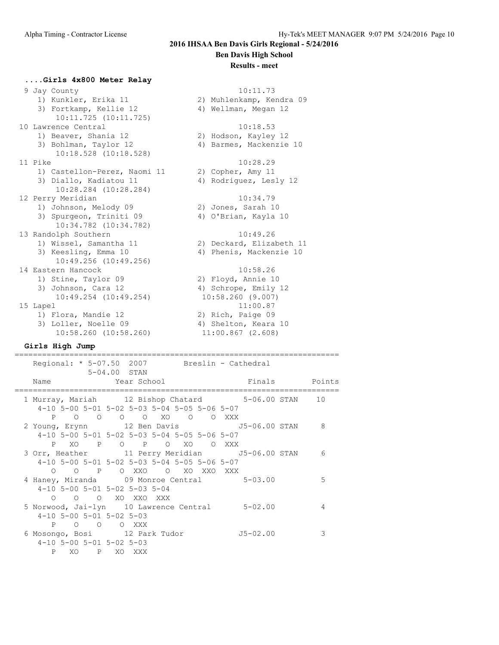#### **Results - meet**

#### **....Girls 4x800 Meter Relay**

 9 Jay County 10:11.73 1) Kunkler, Erika 11 2) Muhlenkamp, Kendra 09 3) Fortkamp, Kellie 12 (4) Wellman, Megan 12 10:11.725 (10:11.725) 10 Lawrence Central 10:18.53 1) Beaver, Shania 12 2) Hodson, Kayley 12 3) Bohlman, Taylor 12 4) Barmes, Mackenzie 10 10:18.528 (10:18.528) 11 Pike 10:28.29 1) Castellon-Perez, Naomi 11 2) Copher, Amy 11 3) Diallo, Kadiatou 11 4) Rodriguez, Lesly 12 10:28.284 (10:28.284) 12 Perry Meridian 10:34.79 1) Johnson, Melody 09 2) Jones, Sarah 10 3) Spurgeon, Triniti 09 <br />
4) O'Brian, Kayla 10 10:34.782 (10:34.782) 13 Randolph Southern 10:49.26 1) Wissel, Samantha 11 2) Deckard, Elizabeth 11 3) Keesling, Emma 10 4) Phenis, Mackenzie 10 10:49.256 (10:49.256) 14 Eastern Hancock 10:58.26 1) Stine, Taylor 09 2) Floyd, Annie 10 3) Johnson, Cara 12 4) Schrope, Emily 12 10:49.254 (10:49.254) 10:58.260 (9.007) 15 Lapel 11:00.87 1) Flora, Mandie 12 2) Rich, Paige 09 3) Loller, Noelle 09 (4) Shelton, Keara 10 10:58.260 (10:58.260) 11:00.867 (2.608)

#### **Girls High Jump**

| Regional: * 5-07.50 2007 Breslin - Cathedral<br>5-04.00 STAN                                                            |              |   |
|-------------------------------------------------------------------------------------------------------------------------|--------------|---|
| Name                                                                                                                    |              |   |
| 1 Murray, Mariah 12 Bishop Chatard 5-06.00 STAN 10<br>4-10 5-00 5-01 5-02 5-03 5-04 5-05 5-06 5-07                      |              |   |
| P O O O O XO O O XXX<br>2 Young, Erynn 12 Ben Davis 55-06.00 STAN 8<br>4-10 5-00 5-01 5-02 5-03 5-04 5-05 5-06 5-07     |              |   |
| PXO P O P O XO O XXX<br>3 Orr, Heather 11 Perry Meridian 5-06.00 STAN 6<br>4-10 5-00 5-01 5-02 5-03 5-04 5-05 5-06 5-07 |              |   |
| 0 0 P OXXO OXOXXOXXX<br>4 Haney, Miranda 09 Monroe Central 5-03.00<br>4-10 5-00 5-01 5-02 5-03 5-04                     |              | 5 |
| 0 0 0 XO XXO XXX<br>5 Norwood, Jai-lyn 10 Lawrence Central 5-02.00<br>$4-10$ 5-00 5-01 5-02 5-03                        |              | 4 |
| P 0 0<br>O XXX<br>6 Mosongo, Bosi 12 Park Tudor<br>$4-10$ 5-00 5-01 5-02 5-03<br>XO P XO XXX<br>$\mathbf{P}$            | $J5 - 02.00$ | 3 |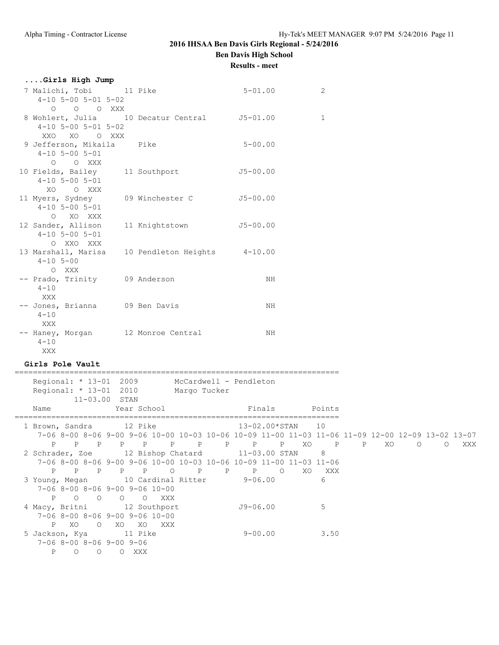## **Ben Davis High School**

**Results - meet**

| Girls High Jump                                                                                       |                 |                              |                               |                            |
|-------------------------------------------------------------------------------------------------------|-----------------|------------------------------|-------------------------------|----------------------------|
| 7 Malichi, Tobi 11 Pike<br>$4-10$ 5-00 5-01 5-02<br>O O XXX<br>$\circ$                                |                 |                              | $5 - 01.00$                   | 2                          |
| 8 Wohlert, Julia 10 Decatur Central 55-01.00<br>$4-10$ 5-00 5-01 5-02<br>XXO XO OXXX                  |                 |                              |                               | 1                          |
| 9 Jefferson, Mikaila<br>$4 - 10$ 5 - 00 5 - 01<br>$\circ$<br>O XXX                                    | Pike            |                              | $5 - 00.00$                   |                            |
| 10 Fields, Bailey 11 Southport<br>$4 - 10$ 5 - 00 5 - 01<br>XO O XXX                                  |                 |                              | $J5 - 00.00$                  |                            |
| 11 Myers, Sydney<br>$4-10$ 5-00 5-01<br>O XO XXX                                                      | 09 Winchester C |                              | $J5 - 00.00$                  |                            |
| 12 Sander, Allison<br>$4 - 10$ 5 - 00 5 - 01<br>O XXO XXX                                             | 11 Knightstown  |                              | $J5 - 00.00$                  |                            |
| 13 Marshall, Marisa<br>$4 - 10$ 5-00<br>O XXX                                                         |                 | 10 Pendleton Heights 4-10.00 |                               |                            |
| -- Prado, Trinity 09 Anderson<br>$4 - 10$<br><b>XXX</b>                                               |                 |                              | NH                            |                            |
| -- Jones, Brianna 09 Ben Davis<br>$4 - 10$<br>XXX                                                     |                 |                              | NH                            |                            |
| -- Haney, Morgan 12 Monroe Central<br>$4 - 10$<br>XXX                                                 |                 |                              | NH                            |                            |
| Girls Pole Vault<br>-------------------------------                                                   |                 |                              | _____________________________ |                            |
| Regional: * 13-01 2009 McCardwell - Pendleton<br>Regional: * 13-01 2010 Margo Tucker<br>11-03.00 STAN |                 |                              |                               |                            |
| Name<br>===============================                                                               | Year School     |                              | Finals                        | Points<br>---------------- |
| 1 Brown, Sandra 12 Pike                                                                               |                 |                              | 13-02.00*STAN                 | 10                         |

 7-06 8-00 8-06 9-00 9-06 10-00 10-03 10-06 10-09 11-00 11-03 11-06 11-09 12-00 12-09 13-02 13-07 P P P P P P P P P P XO P P XO O O XXX 2 Schrader, Zoe 12 Bishop Chatard 11-03.00 STAN 8 7-06 8-00 8-06 9-00 9-06 10-00 10-03 10-06 10-09 11-00 11-03 11-06 P P P P P O P P P O XO XXX 3 Young, Megan 10 Cardinal Ritter 9-06.00 6 7-06 8-00 8-06 9-00 9-06 10-00 P O O O O XXX 4 Macy, Britni 12 Southport J9-06.00 5 7-06 8-00 8-06 9-00 9-06 10-00 P XO O XO XO XXX 1 N U XU XU XXX<br>5 Jackson, Kya 11 Pike 9-00.00 3.50 7-06 8-00 8-06 9-00 9-06 P O O O XXX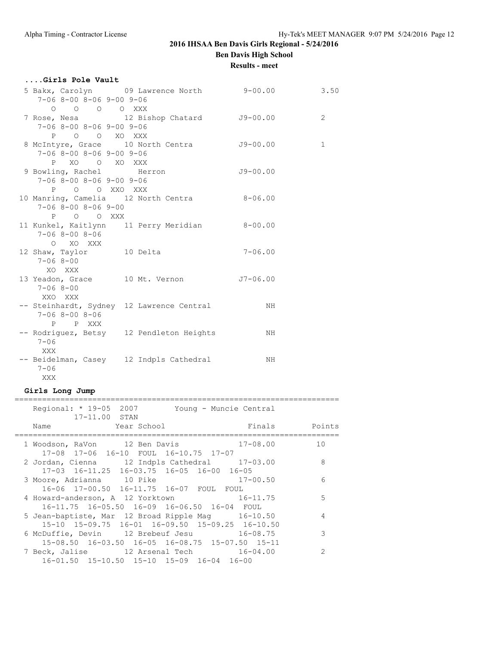## **Results - meet**

| Girls Pole Vault                 |                                                |             |                |
|----------------------------------|------------------------------------------------|-------------|----------------|
| $7-06$ 8-00 8-06 9-00 9-06       | 5 Bakx, Carolyn 09 Lawrence North 9-00.00 3.50 |             |                |
| O O O O XXX                      |                                                |             |                |
|                                  | 7 Rose, Nesa 12 Bishop Chatard J9-00.00        |             | $\overline{2}$ |
| $7-068-008-069-009-06$           |                                                |             |                |
| P O O XO XXX                     |                                                |             |                |
|                                  | 8 McIntyre, Grace 10 North Centra 59-00.00     |             | $\mathbf 1$    |
| $7-06$ 8-00 8-06 9-00 9-06       |                                                |             |                |
| P XO O XO XXX                    |                                                |             |                |
| 9 Bowling, Rachel Herron         |                                                | $J9-00.00$  |                |
| $7 - 068 - 008 - 069 - 009 - 06$ |                                                |             |                |
| P O O XXO XXX                    |                                                |             |                |
|                                  | 10 Manring, Camelia 12 North Centra 8-06.00    |             |                |
| $7 - 068 - 008 - 069 - 00$       |                                                |             |                |
| P O O XXX                        |                                                |             |                |
|                                  | 11 Kunkel, Kaitlynn 11 Perry Meridian 8-00.00  |             |                |
| $7 - 068 - 008 - 06$             |                                                |             |                |
| O XO XXX                         |                                                |             |                |
| 12 Shaw, Taylor 10 Delta         |                                                | $7 - 06.00$ |                |
| $7 - 068 - 00$                   |                                                |             |                |
| XO XXX                           |                                                |             |                |
|                                  | 13 Yeadon, Grace 10 Mt. Vernon J7-06.00        |             |                |
| $7 - 068 - 00$                   |                                                |             |                |
| XXO XXX                          |                                                |             |                |
|                                  | -- Steinhardt, Sydney 12 Lawrence Central      | NH          |                |
| $7 - 068 - 008 - 06$             |                                                |             |                |
| P P XXX                          |                                                |             |                |
|                                  | -- Rodriguez, Betsy 12 Pendleton Heights       | NH.         |                |
| $7 - 06$                         |                                                |             |                |
| <b>XXX</b>                       |                                                |             |                |
|                                  | -- Beidelman, Casey 12 Indpls Cathedral        | NH          |                |
| $7 - 06$                         |                                                |             |                |
| XXX                              |                                                |             |                |

### **Girls Long Jump**

| Regional: * 19-05 2007 Young - Muncie Central<br>17-11.00 STAN                                                                                       |                |
|------------------------------------------------------------------------------------------------------------------------------------------------------|----------------|
| mandata di Points de l'antique de la point de la point de la point de la point de la point de la point de la p<br>Year School لا Year School<br>Name |                |
| 1 Woodson, RaVon 12 Ben Davis 17-08.00 10<br>17-08 17-06 16-10 FOUL 16-10.75 17-07                                                                   |                |
| 2 Jordan, Cienna 12 Indpls Cathedral 17-03.00<br>17-03 16-11.25 16-03.75 16-05 16-00 16-05                                                           | 8              |
| 3 Moore, Adrianna 10 Pike<br>$17 - 00.50$<br>16-06 17-00.50 16-11.75 16-07 FOUL FOUL                                                                 | 6              |
| 4 Howard-anderson, A 12 Yorktown 16-11.75<br>16-11.75 16-05.50 16-09 16-06.50 16-04 FOUL                                                             | 5              |
| 5 Jean-baptiste, Mar 12 Broad Ripple Mag 16-10.50<br>15-10 15-09.75 16-01 16-09.50 15-09.25 16-10.50                                                 | $\overline{4}$ |
| 6 McDuffie, Devin 12 Brebeuf Jesu 16-08.75<br>15-08.50 16-03.50 16-05 16-08.75 15-07.50 15-11                                                        | 3              |
| 7 Beck, Jalise 12 Arsenal Tech 16-04.00<br>16-01.50 15-10.50 15-10 15-09 16-04 16-00                                                                 | $\mathcal{L}$  |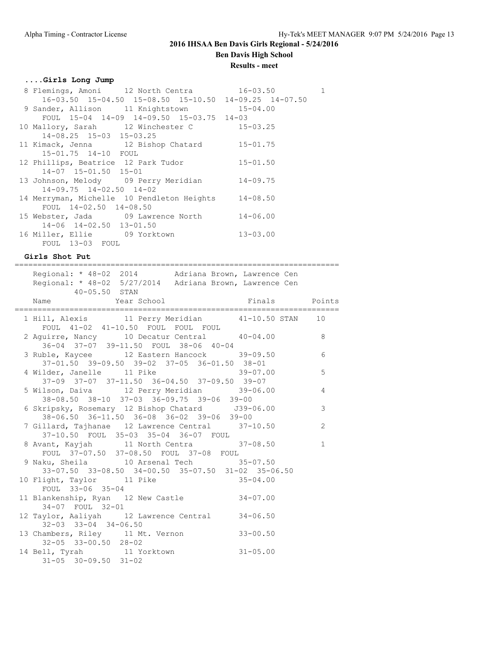**Results - meet**

=======================================================================

### **....Girls Long Jump**

| 8 Flemings, Amoni 12 North Centra 16-03.50                        |              | $\mathbf{1}$ |
|-------------------------------------------------------------------|--------------|--------------|
| $16-03.50$ $15-04.50$ $15-08.50$ $15-10.50$ $14-09.25$ $14-07.50$ |              |              |
| 9 Sander, Allison 11 Knightstown 15-04.00                         |              |              |
| FOUL 15-04 14-09 14-09.50 15-03.75 14-03                          |              |              |
| 10 Mallory, Sarah 12 Winchester C 15-03.25                        |              |              |
| $14 - 08.25$ $15 - 03$ $15 - 03.25$                               |              |              |
| 11 Kimack, Jenna 12 Bishop Chatard 15-01.75                       |              |              |
| 15-01.75 14-10 FOUL                                               |              |              |
| 12 Phillips, Beatrice 12 Park Tudor                               | $15 - 01.50$ |              |
| 14-07 15-01.50 15-01                                              |              |              |
| 13 Johnson, Melody 09 Perry Meridian                              | $14 - 09.75$ |              |
| $14-09.75$ $14-02.50$ $14-02$                                     |              |              |
| 14 Merryman, Michelle 10 Pendleton Heights 14-08.50               |              |              |
| FOUL 14-02.50 14-08.50                                            |              |              |
| 15 Webster, Jada 09 Lawrence North 14-06.00                       |              |              |
| 14-06 14-02.50 13-01.50                                           |              |              |
| 16 Miller, Ellie 09 Yorktown                                      | $13 - 03.00$ |              |
| FOUL 13-03 FOUL                                                   |              |              |

**Girls Shot Put**

| Regional: * 48-02 2014 Adriana Brown, Lawrence Cen<br>Regional: * 48-02 5/27/2014 Adriana Brown, Lawrence Cen<br>$40 - 05.50$ STAN |                 |
|------------------------------------------------------------------------------------------------------------------------------------|-----------------|
| Name Year School Mame Points                                                                                                       |                 |
| 1 Hill, Alexis 11 Perry Meridian 41-10.50 STAN 10<br>FOUL 41-02 41-10.50 FOUL FOUL FOUL                                            |                 |
| 2 Aguirre, Nancy 10 Decatur Central 40-04.00<br>8 <sup>1</sup><br>$36-04$ $37-07$ $39-11.50$ FOUL $38-06$ $40-04$                  |                 |
| 3 Ruble, Kaycee 12 Eastern Hancock 39-09.50<br>37-01.50 39-09.50 39-02 37-05 36-01.50 38-01                                        | $6\overline{6}$ |
| 4 Wilder, Janelle 11 Pike 39-07.00<br>37-09 37-07 37-11.50 36-04.50 37-09.50 39-07                                                 | 5               |
| 38-08.50 38-10 37-03 36-09.75 39-06 39-00                                                                                          |                 |
| 6 Skripsky, Rosemary 12 Bishop Chatard 539-06.00<br>38-06.50 36-11.50 36-08 36-02 39-06 39-00                                      | $\mathbf{3}$    |
| 7 Gillard, Tajhanae 12 Lawrence Central 37-10.50<br>37-10.50 FOUL 35-03 35-04 36-07 FOUL                                           | 2               |
| 8 Avant, Kayjah 11 North Centra 37-08.50<br>FOUL 37-07.50 37-08.50 FOUL 37-08 FOUL                                                 | $\mathbf{1}$    |
| 9 Naku, Sheila 10 Arsenal Tech 35-07.50<br>33-07.50 33-08.50 34-00.50 35-07.50 31-02 35-06.50                                      |                 |
| 10 Flight, Taylor 11 Pike 35-04.00<br>FOUL 33-06 35-04                                                                             |                 |
| 11 Blankenship, Ryan 12 New Castle 34-07.00<br>34-07 FOUL 32-01                                                                    |                 |
| 12 Taylor, Aaliyah 12 Lawrence Central 34-06.50<br>$32-03$ $33-04$ $34-06.50$                                                      |                 |
| 13 Chambers, Riley 11 Mt. Vernon 33-00.50<br>32-05 33-00.50 28-02                                                                  |                 |
| 14 Bell, Tyrah 11 Yorktown 31-05.00<br>$31-05$ $30-09.50$ $31-02$                                                                  |                 |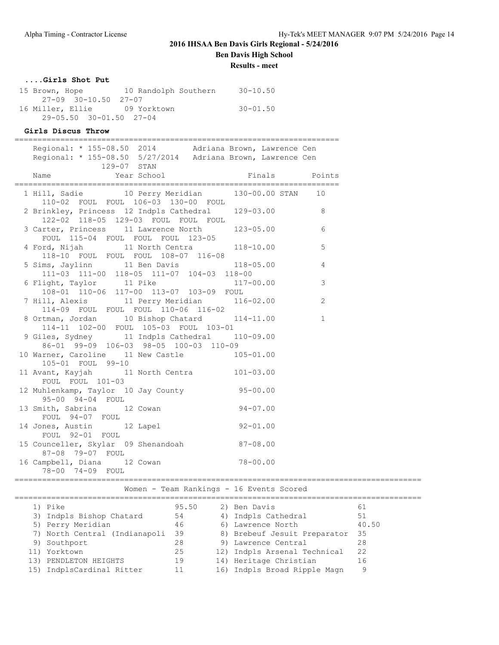**Results - meet**

### **....Girls Shot Put**

| 15 Brown, Hope                      | 10 Randolph Southern | $30 - 10.50$ |
|-------------------------------------|----------------------|--------------|
| 27-09 30-10.50 27-07                |                      |              |
| 16 Miller, Ellie 19 Yorktown        |                      | $30 - 01.50$ |
| $29 - 05.50$ $30 - 01.50$ $27 - 04$ |                      |              |

### **Girls Discus Throw**

| Regional: * 155-08.50 2014 Adriana Brown, Lawrence Cen<br>Regional: * 155-08.50 5/27/2014 Adriana Brown, Lawrence Cen<br>129-07 STAN |               |   |
|--------------------------------------------------------------------------------------------------------------------------------------|---------------|---|
| Year School Finals Points<br>Name                                                                                                    |               |   |
| 1 Hill, Sadie 10 Perry Meridian 130-00.00 STAN 10                                                                                    |               |   |
| 110-02 FOUL FOUL 106-03 130-00 FOUL<br>2 Brinkley, Princess 12 Indpls Cathedral 129-03.00 8<br>122-02 118-05 129-03 FOUL FOUL FOUL   |               |   |
| 3 Carter, Princess 11 Lawrence North 123-05.00<br>FOUL 115-04 FOUL FOUL FOUL 123-05                                                  |               | 6 |
| 4 Ford, Nijah 11 North Centra 118-10.00                                                                                              |               | 5 |
| 118-10 FOUL FOUL FOUL 108-07 116-08<br>5 Sims, Jaylinn 11 Ben Davis 118-05.00 4<br>$111-03$ 111-00 118-05 111-07 104-03 118-00       |               |   |
| 6 Flight, Taylor 11 Pike $117-00.00$ 3<br>108-01 110-06 117-00 113-07 103-09 FOUL                                                    |               |   |
| 114-09 FOUL FOUL FOUL 110-06 116-02                                                                                                  |               |   |
| 8 Ortman, Jordan 10 Bishop Chatard 114-11.00 1<br>114-11 102-00 FOUL 105-03 FOUL 103-01                                              |               |   |
| 9 Giles, Sydney 11 Indpls Cathedral 110-09.00<br>86-01 99-09 106-03 98-05 100-03 110-09                                              |               |   |
| 10 Warner, Caroline 11 New Castle<br>105-01 FOUL 99-10                                                                               | $105 - 01.00$ |   |
| 11 Avant, Kayjah 11 North Centra 101-03.00<br>FOUL FOUL 101-03                                                                       |               |   |
| 12 Muhlenkamp, Taylor 10 Jay County 95-00.00<br>95-00 94-04 FOUL                                                                     |               |   |
| $33 - 00$ $34 - 04$ $100$<br>13 Smith, Sabrina 12 Cowan 94-07.00<br>FOUL 94-07 FOUL                                                  |               |   |
| 14 Jones, Austin 12 Lapel 92-01.00<br>FOUL 92-01 FOUL                                                                                |               |   |
| 15 Counceller, Skylar 09 Shenandoah 87-08.00                                                                                         |               |   |
| 87-08 79-07 FOUL<br>16 Campbell, Diana 12 Cowan 78-00.00<br>78-00 74-09 FOUL                                                         |               |   |

### Women - Team Rankings - 16 Events Scored

| 1) Pike                       | 95.50 | 2) Ben Davis                 | 61    |
|-------------------------------|-------|------------------------------|-------|
| 3) Indpls Bishop Chatard      | 54    | 4) Indpls Cathedral          | 51    |
| 5) Perry Meridian             | 46    | 6) Lawrence North            | 40.50 |
| 7) North Central (Indianapoli | 39    | 8) Brebeuf Jesuit Preparator | -35   |
| 9) Southport                  | 28    | 9) Lawrence Central          | 28    |
| 11) Yorktown                  | 25    | 12) Indpls Arsenal Technical | 22    |
| 13) PENDLETON HEIGHTS         | 19    | 14) Heritage Christian       | 16    |
| 15) IndplsCardinal Ritter     |       | 16) Indpls Broad Ripple Magn | 9     |
|                               |       |                              |       |